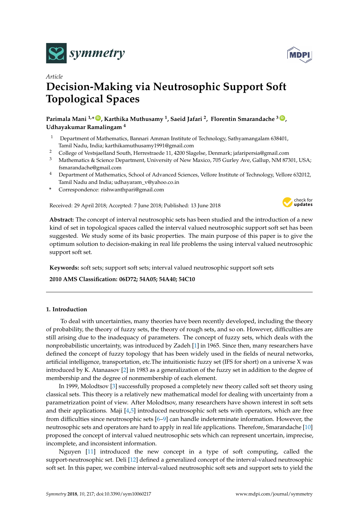



# *Article* **Decision-Making via Neutrosophic Support Soft Topological Spaces**

**Parimala Mani 1,\* [ID](https://orcid.org/0000-0003-1390-2049) , Karthika Muthusamy <sup>1</sup> , Saeid Jafari <sup>2</sup> , Florentin Smarandache <sup>3</sup> [ID](https://orcid.org/0000-0002-5560-5926) , Udhayakumar Ramalingam <sup>4</sup>**

- <sup>1</sup> Department of Mathematics, Bannari Amman Institute of Technology, Sathyamangalam 638401, Tamil Nadu, India; karthikamuthusamy1991@gmail.com
- <sup>2</sup> College of Vestsjaelland South, Herrestraede 11, 4200 Slagelse, Denmark; jafaripersia@gmail.com
- <sup>3</sup> Mathematics & Science Department, University of New Maxico, 705 Gurley Ave, Gallup, NM 87301, USA; fsmarandache@gmail.com
- <sup>4</sup> Department of Mathematics, School of Advanced Sciences, Vellore Institute of Technology, Vellore 632012, Tamil Nadu and India; udhayaram\_v@yahoo.co.in
- **\*** Correspondence: rishwanthpari@gmail.com

Received: 29 April 2018; Accepted: 7 June 2018; Published: 13 June 2018



**Abstract:** The concept of interval neutrosophic sets has been studied and the introduction of a new kind of set in topological spaces called the interval valued neutrosophic support soft set has been suggested. We study some of its basic properties. The main purpose of this paper is to give the optimum solution to decision-making in real life problems the using interval valued neutrosophic support soft set.

**Keywords:** soft sets; support soft sets; interval valued neutrosophic support soft sets

**2010 AMS Classification: 06D72; 54A05; 54A40; 54C10**

# **1. Introduction**

To deal with uncertainties, many theories have been recently developed, including the theory of probability, the theory of fuzzy sets, the theory of rough sets, and so on. However, difficulties are still arising due to the inadequacy of parameters. The concept of fuzzy sets, which deals with the nonprobabilistic uncertainty, was introduced by Zadeh [\[1\]](#page-9-0) in 1965. Since then, many researchers have defined the concept of fuzzy topology that has been widely used in the fields of neural networks, artificial intelligence, transportation, etc.The intuitionistic fuzzy set (IFS for short) on a universe X was introduced by K. Atanaasov [\[2\]](#page-9-1) in 1983 as a generalization of the fuzzy set in addition to the degree of membership and the degree of nonmembership of each element.

In 1999, Molodtsov [\[3\]](#page-9-2) successfully proposed a completely new theory called soft set theory using classical sets. This theory is a relatively new mathematical model for dealing with uncertainty from a parametrization point of view. After Molodtsov, many researchers have shown interest in soft sets and their applications. Maji  $[4,5]$  $[4,5]$  introduced neutrosophic soft sets with operators, which are free from difficulties since neutrosophic sets [\[6](#page-9-5)[–9\]](#page-9-6) can handle indeterminate information. However, the neutrosophic sets and operators are hard to apply in real life applications. Therefore, Smarandache [\[10\]](#page-9-7) proposed the concept of interval valued neutrosophic sets which can represent uncertain, imprecise, incomplete, and inconsistent information.

Nguyen [\[11\]](#page-9-8) introduced the new concept in a type of soft computing, called the support-neutrosophic set. Deli [\[12\]](#page-9-9) defined a generalized concept of the interval-valued neutrosophic soft set. In this paper, we combine interval-valued neutrosophic soft sets and support sets to yield the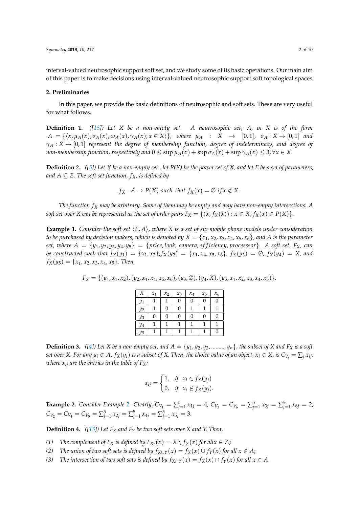interval-valued neutrosophic support soft set, and we study some of its basic operations. Our main aim of this paper is to make decisions using interval-valued neutrosophic support soft topological spaces.

#### **2. Preliminaries**

In this paper, we provide the basic definitions of neutrosophic and soft sets. These are very useful for what follows.

**Definition 1.** *([\[13\]](#page-9-10)) Let X be a non-empty set. A neutrosophic set, A, in X is of the form*  $A = \{ \langle x, \mu_A(x), \sigma_A(x), \omega_A(x), \gamma_A(x); x \in X \rangle \},$  where  $\mu_A : X \to [0,1], \sigma_A : X \to [0,1]$  and  $\gamma_A : X \to [0,1]$  *represent the degree of membership function, degree of indeterminacy, and degree of non-membership function, respectively and*  $0 \le \sup \mu_A(x) + \sup \sigma_A(x) + \sup \gamma_A(x) \le 3, \forall x \in X$ .

**Definition 2.** *([\[5\]](#page-9-4)) Let X be a non-empty set , let P(X) be the power set of X, and let E be a set of parameters, and*  $A \subseteq E$ *. The soft set function, f<sub>X</sub>, is defined by* 

$$
f_X: A \to P(X)
$$
 such that  $f_X(x) = \emptyset$  if  $x \notin X$ .

*The function f<sup>X</sup> may be arbitrary. Some of them may be empty and may have non-empty intersections. A soft set over X can be represented as the set of order pairs*  $F_X = \{(x, f_X(x)) : x \in X, f_X(x) \in P(X)\}.$ 

**Example 1.** *Consider the soft set*  $\langle F, A \rangle$ *, where* X is a set of six mobile phone models under consideration *to be purchased by decision makers, which is denoted by*  $X = \{x_1, x_2, x_3, x_4, x_5, x_6\}$ *, and A is the parameter set, where*  $A = \{y_1, y_2, y_3, y_4, y_5\} = \{price, look, camera, efficiency, processor\}$ . A soft set,  $F_X$ , can be constructed such that  $f_X(y_1) = \{x_1, x_2\}$ ,  $f_X(y_2) = \{x_1, x_4, x_5, x_6\}$ ,  $f_X(y_3) = \emptyset$ ,  $f_X(y_4) = X$ , and  $f_X(y_5) = \{x_1, x_2, x_3, x_4, x_5\}$ . Then,

$$
F_X = \{ (y_1, x_1, x_2), (y_2, x_1, x_4, x_5, x_6), (y_3, \emptyset), (y_4, X), (y_5, x_1, x_2, x_3, x_4, x_5) \}.
$$

| Χ              | $x_1$ | $x_2$          | $x_3$ | $x_4$ | $x_{5}$ | $x_6$            |
|----------------|-------|----------------|-------|-------|---------|------------------|
| $y_1$          |       |                | 0     | 0     | 0       | $\overline{0}$   |
| $y_2$          |       | $\theta$       | 0     | 1     |         |                  |
| $y_3$          | 0     | $\overline{0}$ | 0     | 0     | 0       | 0                |
| $\mathcal{Y}4$ |       |                |       |       |         |                  |
| $y_{5}$        |       |                |       |       |         | $\boldsymbol{0}$ |

**Definition 3.** ([\[4\]](#page-9-3)) Let X be a non-empty set, and  $A = \{y_1, y_2, y_3, \dots, y_n\}$ , the subset of X and  $F_X$  is a soft set over X. For any  $y_i \in A$ ,  $f_X(y_i)$  is a subset of X. Then, the choice value of an object,  $x_i \in X$ , is  $C_{V_i} = \sum_i x_{ij}$ , *where*  $x_{ij}$  *are the entries in the table of*  $F_X$ *:* 

$$
x_{ij} = \begin{cases} 1, & \text{if } x_i \in f_X(y_j) \\ 0, & \text{if } x_i \notin f_X(y_j). \end{cases}
$$

<span id="page-1-0"></span>**Example [2.](#page-1-0)** Consider Example 2. Clearly,  $C_{V_1} = \sum_{j=1}^{5} x_{1j} = 4$ ,  $C_{V_3} = C_{V_6} = \sum_{j=1}^{5} x_{3j} = \sum_{j=1}^{5} x_{6j} = 2$ ,  $C_{V_2} = C_{V_4} = C_{V_5} = \sum_{j=1}^5 x_{2j} = \sum_{j=1}^5 x_{4j} = \sum_{j=1}^5 x_{5j} = 3.$ 

**Definition 4.** *([\[13\]](#page-9-10))* Let  $F_X$  and  $F_Y$  be two soft sets over X and Y. Then,

- *(1) The complement of F<sub>X</sub></sub> is defined by*  $F_{X^c}(x) = X \setminus f_X(x)$  *for all* $x \in A$ *;*
- *(2) The union of two soft sets is defined by*  $f_{X\cup Y}(x) = f_X(x) \cup f_Y(x)$  *for all*  $x \in A$ ;
- *(3) The intersection of two soft sets is defined by*  $f_{X \cap Y}(x) = f_X(x) \cap f_Y(x)$  *for all*  $x \in A$ *.*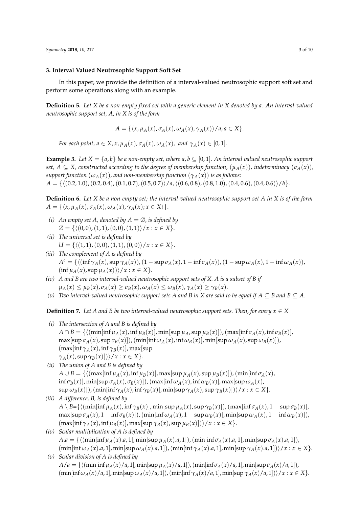*Symmetry* **2018**, *10*, 217 3 of 10

# **3. Interval Valued Neutrosophic Support Soft Set**

In this paper, we provide the definition of a interval-valued neutrosophic support soft set and perform some operations along with an example.

**Definition 5.** *Let X be a non-empty fixed set with a generic element in X denoted by a. An interval-valued neutrosophic support set, A, in X is of the form*

$$
A = \{ \langle x, \mu_A(x), \sigma_A(x), \omega_A(x), \gamma_A(x) \rangle / a; a \in X \}.
$$

*For each point, a*  $\in$  *X, x, µ<sub>A</sub>*(*x*),  $\sigma_A(x)$ ,  $\omega_A(x)$ , *and*  $\gamma_A(x) \in [0,1]$ *.* 

**Example 3.** Let  $X = \{a, b\}$  be a non-empty set, where  $a, b \subseteq [0, 1]$ . An interval valued neutrosophic support *set,*  $A \subseteq X$ , constructed according to the degree of membership function,  $(\mu_A(x))$ , indeterminacy  $(\sigma_A(x))$ , *support function*  $(\omega_A(x))$ *, and non-membership function*  $(\gamma_A(x))$  *is as follows:*  $A = \{((0.2, 1.0), (0.2, 0.4), (0.1, 0.7), (0.5, 0.7)) / a, ((0.6, 0.8), (0.8, 1.0), (0.4, 0.6), (0.4, 0.6)) / b\}.$ 

**Definition 6.** *Let X be a non-empty set; the interval-valued neutrosophic support set A in X is of the form*  $A = \{\langle x, \mu_A(x), \sigma_A(x), \omega_A(x), \gamma_A(x); x \in X \rangle\}.$ 

- *(i) An empty set A, denoted by*  $A = \emptyset$ *, is defined by*  $\varnothing = \{ \langle (0, 0), (1, 1), (0, 0), (1, 1) \rangle / x : x \in X \}.$
- *(ii) The universal set is defined by*  $U = \{ \langle (1, 1), (0, 0), (1, 1), (0, 0) \rangle / x : x \in X \}.$
- *(iii) The complement of A is defined by*  $A^c = \{ \langle (\inf \gamma_A(x), \sup \gamma_A(x)), (1 - \sup \sigma_A(x), 1 - \inf \sigma_A(x)), (1 - \sup \omega_A(x), 1 - \inf \omega_A(x)),$  $\langle \inf \mu_A(x), \sup \mu_A(x) \rangle \rangle / x : x \in X$ .
- *(iv) A and B are two interval-valued neutrosophic support sets of X. A is a subset of B if*  $\mu_A(x) \leq \mu_B(x), \sigma_A(x) \geq \sigma_B(x), \omega_A(x) \leq \omega_B(x), \gamma_A(x) \geq \gamma_B(x).$
- *(v) Two interval-valued neutrosophic support sets A and B in X are said to be equal if A* ⊆ *B and B* ⊆ *A.*

**Definition 7.** Let A and B be two interval-valued neutrosophic support sets. Then, for every  $x \in X$ 

- *(i) The intersection of A and B is defined by*  $A \cap B = \{ \langle (\text{min}[\text{inf } \mu_A(x), \text{inf } \mu_B(x)], \text{min}[\text{sup } \mu_A, \text{sup } \mu_B(x)] \rangle, (\text{max}[\text{inf } \sigma_A(x), \text{inf } \sigma_B(x)] \rangle \}$  $\max[\sup \sigma_A(x), \sup \sigma_B(x)]$ ,  $(\min[\inf \omega_A(x), \inf \omega_B(x)]$ ,  $\min[\sup \omega_A(x), \sup \omega_B(x)]$ ,  $(\text{max}[\inf \gamma_A(x), \inf \gamma_B(x)]$ , max $[\sup$  $\gamma_A(x)$ , sup  $\gamma_B(x)$ ]) $\chi x : x \in X$ }.
- *(ii) The union of A and B is defined by*  $A \cup B = \{((\max[\inf \mu_A(x), \inf \mu_B(x)], \max[\sup \mu_A(x), \sup \mu_B(x)]), (\min[\inf \sigma_A(x),$  $\inf \sigma_B(x)$ ], min $[\sup \sigma_A(x), \sigma_B(x)]$ ),  $(\max[\inf \omega_A(x), \inf \omega_B(x)]$ , max $[\sup \omega_A(x),$  $\sup \omega_B(x)$ ]), (min[inf  $\gamma_A(x)$ , inf  $\gamma_B(x)$ ], min[sup  $\gamma_A(x)$ , sup  $\gamma_B(x)$ ]))/ $x : x \in X$ }.
- *(iii) A difference, B, is defined by*  $A \ B=\{(\min[\inf \mu_A(x), \inf \gamma_B(x)], \min[\sup \mu_A(x), \sup \gamma_B(x)]\}, (\max[\inf \sigma_A(x), 1 - \sup \sigma_B(x)]\}$  $\max[\sup \sigma_A(x), 1 - \inf \sigma_B(x)]$ ,  $(\min[\inf \omega_A(x), 1 - \sup \omega_B(x)]$ ,  $\min[\sup \omega_A(x), 1 - \inf \omega_B(x)]$ ,  $(\max[\inf \gamma_A(x), \inf \mu_B(x)], \max[\sup \gamma_B(x), \sup \mu_B(x)])$ /*x* : *x* ∈ *X*}.
- *(iv) Scalar multiplication of A is defined by*  $A.a = \{ \langle (\text{min}[ \text{inf } \mu_A(x).a, 1], \text{min}[ \text{sup } \mu_A(x).a, 1], (\text{min}[ \text{inf } \sigma_A(x).a, 1], \text{min}[ \text{sup } \sigma_A(x).a, 1] \rangle$  $(\min[\inf \omega_A(x).a,1], \min[\sup \omega_A(x).a,1]), (\min[\inf \gamma_A(x).a,1], \min[\sup \gamma_A(x).a,1])$ /x: $x \in X$ .

*(v) Scalar division of A is defined by*  $A/a = \{ \langle (\min[\inf \mu_A(x)/a, 1], \min[\sup \mu_A(x)/a, 1], (\min[\inf \sigma_A(x)/a, 1], \min[\sup \sigma_A(x)/a, 1] \rangle,$  $(\min[\inf \omega_A(x)/a,1], \min[\sup \omega_A(x)/a,1]), (\min[\inf \gamma_A(x)/a,1], \min[\sup \gamma_A(x)/a,1])\rangle / x : x \in X\}.$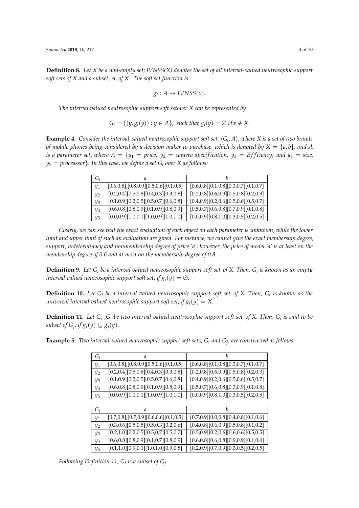**Definition 8.** *Let X be a non-empty set; IVNSS(X) denotes the set of all interval-valued neutrosophic support soft sets of X and a subset, A, of X . The soft set function is*

$$
g_i: A \to IVNSS(x).
$$

*The interval valued neutrosophic support soft setover X can be represented by*

 $G_i = \{(y, g_i(y)) : y \in A\}$ , *such that*  $g_i(y) = \emptyset$  *if x*  $\notin X$ .

<span id="page-3-1"></span>**Example 4.** Consider the interval-valued neutrosophic support soft set,  $\langle G_i, A \rangle$ , where X is a set of two brands *of mobile phones being considered by a decision maker to purchase, which is denoted by*  $X = \{a, b\}$ *, and A is a parameter set, where*  $A = \{y_1 = price, y_2 = camera\, specification, y_3 = Efficiency, and y_4 = size\}$  $y_5$  = *processsor*}. In this case, we define a set  $G_i$  *over X as follows:* 

| Gi                |                                                       |                                            |
|-------------------|-------------------------------------------------------|--------------------------------------------|
| $y_1$             | $[0.6, 0.8]$ , $[0.8, 0.9]$ $[0.5, 0.6]$ $[0.1, 0.5]$ | $[0.6, 0.8][0.1, 0.8][0.3, 0.7][0.1, 0.7]$ |
| $y_2$             | $[0.2, 0.4][0.5, 0.8][0.4, 0.3][0.3, 0.8]$            | $[0.2, 0.8][0.6, 0.9][0.5, 0.8][0.2, 0.3]$ |
| $y_3$             | $[0.1, 0.9][0.2, 0.5][0.5, 0.7][0.6, 0.8]$            | $[0.4, 0.9][0.2, 0.6][0.5, 0.6][0.5, 0.7]$ |
| $\frac{y_4}{x_2}$ | $[0.6, 0.8][0.8, 0.9][0.1, 0.9][0.8, 0.9]$            | $[0.5, 0.7][0.6, 0.8][0.7, 0.9][0.1, 0.8]$ |
| Y5                | $[0.0, 0.9][1.0, 0.1][1.0, 0.9][1.0, 1.0]$            | $[0.0, 0.9][0.8, 1.0][0.3, 0.5][0.2, 0.5]$ |

*Clearly, we can see that the exact evaluation of each object on each parameter is unknown, while the lower limit and upper limit of such an evaluation are given. For instance, we cannot give the exact membership degree, support, indeterminacy and nonmembership degree of price 'a'; however, the price of model 'a' is at least on the membership degree of 0.6 and at most on the membership degree of 0.8.*

**Definition 9.** *Let G<sup>i</sup> be a interval valued neutrosophic support soft set of X. Then, G<sup>i</sup> is known as an empty interval valued neutrosophic support soft set, if*  $g_i(y) = \emptyset$ .

**Definition 10.** *Let G<sup>i</sup> be a interval valued neutrosophic support soft set of X. Then, G<sup>i</sup> is known as the universal interval valued neutrosophic support soft set, if*  $g_i(y) = X$ .

<span id="page-3-0"></span>**Definition 11.** *Let G<sup>i</sup> ,G<sup>j</sup> be two interval valued neutrosophic support soft set of X. Then, G<sup>i</sup> is said to be subset of*  $G_j$ *, if*  $g_i(y) \subseteq g_j(y)$ *.* 

|  | <b>Example 5.</b> Two interval-valued neutrosophic support soft sets, $G_i$ and $G_j$ , are constructed as follows: |  |  |  |  |  |
|--|---------------------------------------------------------------------------------------------------------------------|--|--|--|--|--|
|--|---------------------------------------------------------------------------------------------------------------------|--|--|--|--|--|

| Gi                    | a                                                     | h                                          |
|-----------------------|-------------------------------------------------------|--------------------------------------------|
| y1                    | $[0.6, 0.8]$ , $[0.8, 0.9]$ $[0.5, 0.6]$ $[0.1, 0.5]$ | $[0.6, 0.8][0.1, 0.8][0.3, 0.7][0.1, 0.7]$ |
| $y_2$                 | $[0.2, 0.4][0.5, 0.8][0.4, 0.3][0.3, 0.8]$            | $[0.2, 0.8][0.6, 0.9][0.5, 0.8][0.2, 0.3]$ |
| $y_3$                 | $[0.1, 0.9][0.2, 0.5][0.5, 0.7][0.6, 0.8]$            | $[0.4, 0.9][0.2, 0.6][0.5, 0.6][0.5, 0.7]$ |
| $\frac{y_4}{x_2}$     | $[0.6, 0.8][0.8, 0.9][0.1, 0.9][0.8, 0.9]$            | $[0.5, 0.7][0.6, 0.8][0.7, 0.9][0.1, 0.8]$ |
| <i>y</i> <sub>5</sub> | $[0.0, 0.9][1.0, 0.1][1.0, 0.9][1.0, 1.0]$            | $[0.0, 0.9][0.8, 1.0][0.3, 0.5][0.2, 0.5]$ |
|                       |                                                       |                                            |
| G <sub>i</sub>        | a                                                     | h                                          |
| $y_1$                 | $[0.7, 0.8]$ , $[0.7, 0.9]$ $[0.6, 0.6]$ $[0.1, 0.5]$ | $[0.7, 0.9][0.0, 0.8][0.4, 0.8][0.1, 0.6]$ |
| $y_2$                 | $[0.3, 0.6][0.5, 0.5][0.5, 0.3][0.2, 0.6]$            | $[0.4, 0.8][0.6, 0.9][0.5, 0.8][0.1, 0.2]$ |
| $y_3$                 | $[0.2, 1.0][0.2, 0.5][0.5, 0.7][0.5, 0.7]$            | $[0.5, 0.9][0.2, 0.6][0.6, 0.6][0.5, 0.5]$ |
| $y_4$                 | $[0.6, 0.8][0.8, 0.9][0.1, 0.7][0.8, 0.9]$            | $[0.6, 0.8][0.6, 0.8][0.9, 0.9][0.1, 0.4]$ |
| $y_5$                 | $[0.1, 1.0][0.9, 0.1][1.0, 1.0][0.9, 0.8]$            | $[0.2, 0.9][0.7, 0.9][0.3, 0.5][0.2, 0.5]$ |

Following Definition [11,](#page-3-0)  $G_i$  is a subset of  $G_j$ .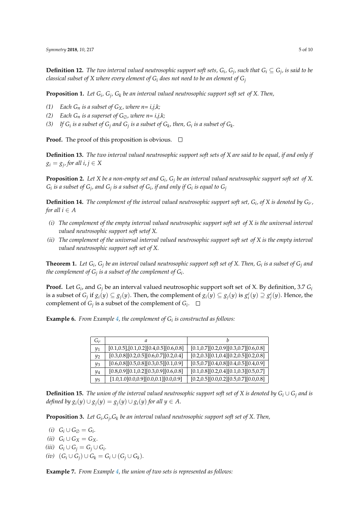$\bf{Definition 12.}$  *The two interval valued neutrosophic support soft sets,*  $G_i$ *,*  $G_j$ *, such that*  $G_i \subseteq G_j$ *, is said to be classical subset of X where every element of G<sup>i</sup> does not need to be an element of G<sup>j</sup>*

**Proposition 1.** *Let G<sup>i</sup> , G<sup>j</sup> , G<sup>k</sup> be an interval valued neutrosophic support soft set of X. Then,*

- (1) *Each*  $G_n$  *is a subset of*  $G_X$ *, where n= i,j,k;*
- *(2) Each*  $G_n$  *is a superset of*  $G_{\emptyset}$ *, where n= i,j,k;*
- (3) If  $G_i$  is a subset of  $G_j$  and  $G_j$  is a subset of  $G_k$ , then,  $G_i$  is a subset of  $G_k$ .

**Proof.** The proof of this proposition is obvious.  $\Box$ 

**Definition 13.** *The two interval valued neutrosophic support soft sets of X are said to be equal, if and only if*  $g_i = g_j$ , for all  $i, j \in X$ 

**Proposition 2.** *Let X be a non-empty set and G<sup>i</sup> , G<sup>j</sup> be an interval valued neutrosophic support soft set of X.*  $G_i$  *is a subset of*  $G_j$ *, and*  $G_j$  *is a subset of*  $G_i$ *, if and only if*  $G_i$  *is equal to*  $G_j$ 

**Definition 14.** *The complement of the interval valued neutrosophic support soft set, G<sup>i</sup> , of X is denoted by G<sup>i</sup> c , for all*  $i \in A$ 

- *(i) The complement of the empty interval valued neutrosophic support soft set of X is the universal interval valued neutrosophic support soft setof X.*
- *(ii) The complement of the universal interval valued neutrosophic support soft set of X is the empty interval valued neutrosophic support soft set of X.*

 $\bf{Theorem~1.}$  Let  $G_i$ ,  $G_j$  be an interval valued neutrosophic support soft set of X. Then,  $G_i$  is a subset of  $G_j$  and *the complement of G<sup>j</sup> is a subset of the complement of G<sup>i</sup> .*

**Proof.** Let *G<sup>i</sup>* , and *G<sup>j</sup>* be an interval valued neutrosophic support soft set of X. By definition, 3.7 *G<sup>i</sup>* is a subset of  $G_j$  if  $g_i(y) \subseteq g_j(y)$ . Then, the complement of  $g_i(y) \subseteq g_j(y)$  is  $g_i^c(y) \supseteq g_j^c(y)$ . Hence, the complement of  $G_j$  is a subset of the complement of  $G_i$ .

**Example 6.** *From Example [4,](#page-3-1) the complement of G<sup>i</sup> is constructed as follows:*

| $G_{ic}$ | а                                                     |                                            |
|----------|-------------------------------------------------------|--------------------------------------------|
| $y_1$    | $[0.1, 0.5]$ , $[0.1, 0.2]$ $[0.4, 0.5]$ $[0.6, 0.8]$ | $[0.1, 0.7][0.2, 0.9][0.3, 0.7][0.6, 0.8]$ |
| $y_2$    | $[0.3, 0.8][0.2, 0.5][0.6, 0.7][0.2, 0.4]$            | $[0.2, 0.3][0.1, 0.4][0.2, 0.5][0.2, 0.8]$ |
| $y_3$    | $[0.6, 0.8][0.5, 0.8][0.3, 0.5][0.1, 0.9]$            | $[0.5, 0.7][0.4, 0.8][0.4, 0.5][0.4, 0.9]$ |
| Y4       | $[0.8, 0.9][0.1, 0.2][0.3, 0.9][0.6, 0.8]$            | $[0.1, 0.8][0.2, 0.4][0.1, 0.3][0.5, 0.7]$ |
| У5       | $[1.0, 1.0]0.0, 0.9]$ $[0.0, 0.1]$ $[0.0, 0.9]$       | $[0.2, 0.5][0.0, 0.2][0.5, 0.7][0.0, 0.8]$ |

**Definition 15.** *The union of the interval valued neutrosophic support soft set of X is denoted by*  $G_i \cup G_j$  *and is defined by*  $g_i(y) \cup g_j(y) = g_j(y) \cup g_i(y)$  *for all*  $y \in A$ .

**Proposition 3.** *Let G<sup>i</sup> ,G<sup>j</sup> ,G<sup>k</sup> be an interval valued neutrosophic support soft set of X. Then,*

 $(i)$   $G_i \cup G_{\emptyset} = G_i$ .

 $(iii)$   $G_i \cup G_X = G_X$ .

*(iii)*  $G_i ∪ G_j = G_j ∪ G_i$ .

*(iv)*  $(G_i \cup G_j) \cup G_k = G_i \cup (G_j \cup G_k)$ .

**Example 7.** *From Example [4,](#page-3-1) the union of two sets is represented as follows:*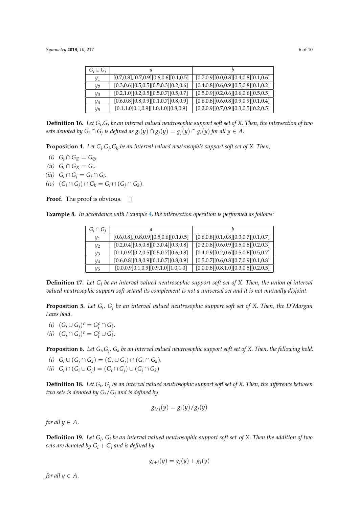| $G_i\cup G_j$ |                                                       |                                            |
|---------------|-------------------------------------------------------|--------------------------------------------|
| У1            | $[0.7, 0.8]$ , $[0.7, 0.9]$ $[0.6, 0.6]$ $[0.1, 0.5]$ | $[0.7, 0.9][0.0, 0.8][0.4, 0.8][0.1, 0.6]$ |
| У2            | $[0.3, 0.6][0.5, 0.5][0.5, 0.3][0.2, 0.6]$            | $[0.4, 0.8][0.6, 0.9][0.5, 0.8][0.1, 0.2]$ |
| Yз            | $[0.2, 1.0][0.2, 0.5][0.5, 0.7][0.5, 0.7]$            | $[0.5, 0.9][0.2, 0.6][0.6, 0.6][0.5, 0.5]$ |
| У4            | $[0.6, 0.8][0.8, 0.9][0.1, 0.7][0.8, 0.9]$            | $[0.6, 0.8][0.6, 0.8][0.9, 0.9][0.1, 0.4]$ |
| У5            | $[0.1, 1.0]0.1, 0.9]$ [1.0,1.0][0.8,0.9]              | $[0.2, 0.9][0.7, 0.9][0.3, 0.5][0.2, 0.5]$ |

**Definition 16.** *Let G<sup>i</sup> ,G<sup>j</sup> be an interval valued neutrosophic support soft set of X. Then, the intersection of two*  $s$ ets denoted by  $G_i \cap G_j$  is defined as  $g_i(y) \cap g_j(y) = g_j(y) \cap g_i(y)$  for all  $y \in A$ .

**Proposition 4.** Let  $G_i$ , $G_j$ , $G_k$  be an interval valued neutrosophic support soft set of X. Then,

- *(i)*  $G_i \cap G_{\emptyset} = G_{\emptyset}$ .
- $(iii)$   $G_i \cap G_X = G_i$ .
- *(iii)*  $G_i \cap G_j = G_j \cap G_i$ .
- $(iv)$   $(G_i \cap G_j) \cap G_k = G_i \cap (G_j \cap G_k).$

**Proof.** The proof is obvious. □

**Example 8.** *In accordance with Example [4,](#page-3-1) the intersection operation is performed as follows:*

| $G_i \cap G_i$        | а                                                     |                                            |
|-----------------------|-------------------------------------------------------|--------------------------------------------|
| $y_1$                 | $[0.6, 0.8]$ , $[0.8, 0.9]$ $[0.5, 0.6]$ $[0.1, 0.5]$ | $[0.6, 0.8][0.1, 0.8][0.3, 0.7][0.1, 0.7]$ |
| $y_2$                 | $[0.2, 0.4][0.5, 0.8][0.3, 0.4][0.3, 0.8]$            | $[0.2, 0.8][0.6, 0.9][0.5, 0.8][0.2, 0.3]$ |
| $y_3$                 | $[0.1, 0.9][0.2, 0.5][0.5, 0.7][0.6, 0.8]$            | $[0.4, 0.9][0.2, 0.6][0.5, 0.6][0.5, 0.7]$ |
| У4                    | $[0.6, 0.8][0.8, 0.9][0.1, 0.7][0.8, 0.9]$            | $[0.5, 0.7][0.6, 0.8][0.7, 0.9][0.1, 0.8]$ |
| <i>y</i> <sub>5</sub> | $[0.0, 0.9]0.1, 0.9]$ $[0.9, 1.0]$ $[1.0, 1.0]$       | $[0.0, 0.8][0.8, 1.0][0.3, 0.5][0.2, 0.5]$ |

**Definition 17.** *Let G<sup>i</sup> be an interval valued neutrosophic support soft set of X. Then, the union of interval valued neutrosophic support soft setand its complement is not a universal set and it is not mutually disjoint.*

**Proposition 5.** *Let G<sup>i</sup> , G<sup>j</sup> be an interval valued neutrosophic support soft set of X. Then, the D'Margan Laws hold.*

*(i)*  $(G_i \cup G_j)^c = G_i^c \cap G_j^c$ . *(ii)*  $(G_i \cap G_j)^c = G_i^c \cup G_j^c$ .

**Proposition 6.** Let  $G_i$ , $G_j$ ,  $G_k$  be an interval valued neutrosophic support soft set of X. Then, the following hold.

- $(i)$   $G_i \cup (G_j \cap G_k) = (G_i \cup G_j) \cap (G_i \cap G_k).$
- *(ii)*  $G_i \cap (G_i \cup G_j) = (G_i \cap G_j) \cup (G_i \cap G_k)$

**Definition 18.** *Let G<sup>i</sup> , G<sup>j</sup> be an interval valued neutrosophic support soft set of X. Then, the difference between two sets is denoted by Gi*/*G<sup>j</sup> and is defined by*

$$
g_{i/j}(y) = g_i(y)/g_j(y)
$$

*for all*  $y \in A$ .

**Definition 19.** *Let G<sup>i</sup> , G<sup>j</sup> be an interval valued neutrosophic support soft set of X. Then the addition of two sets are denoted by*  $G_i + G_j$  *and is defined by* 

$$
g_{i+j}(y) = g_i(y) + g_j(y)
$$

*for all*  $y \in A$ .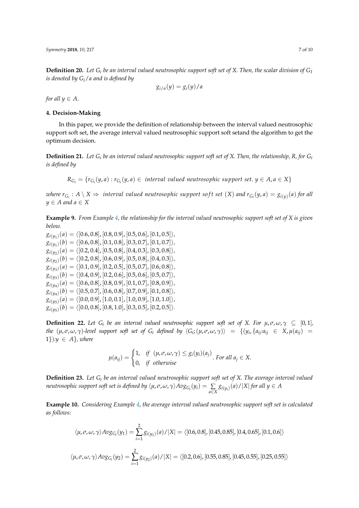**Definition 20.** Let  $G_i$  be an interval valued neutrosophic support soft set of X. Then, the scalar division of  $G_I$ *is denoted by Gi*/*a and is defined by*

$$
g_{i/a}(y) = g_i(y)/a
$$

*for all*  $y \in A$ .

#### **4. Decision-Making**

In this paper, we provide the definition of relationship between the interval valued neutrosophic support soft set, the average interval valued neutrosophic support soft setand the algorithm to get the optimum decision.

**Definition 21.** *Let G<sup>i</sup> be an interval valued neutrosophic support soft set of X. Then, the relationship, R, for G<sup>i</sup> is defined by*

 $R_{G_i} = \{r_{G_i}(y, a) : r_{G_i}(y, a) \in \text{ interval valued neutrosophic support set. } y \in A, a \in X\}$ 

where  $r_{G_i}:A\setminus X\Rightarrow~$  interval valued neutrosophic support soft set  $(X)$  and  $r_{G_i}(y,a)=g_{i(y)}(a)$  for all *y* ∈ *A and a* ∈ *X*

**Example 9.** *From Example [4,](#page-3-1) the relationship for the interval valued neutrosophic support soft set of X is given below.*

 $g_{i(y_1)}(a) = \langle [0.6, 0.8], [0.8, 0.9], [0.5, 0.6], [0.1, 0.5] \rangle$  $g_{i(y_1)}(b) = \langle [0.6, 0.8], [0.1, 0.8], [0.3, 0.7], [0.1, 0.7] \rangle$  $g_{i(y_2)}(a) = \langle [0.2, 0.4], [0.5, 0.8], [0.4, 0.3], [0.3, 0.8] \rangle$  $g_{i(y_2)}(b) = \langle [0.2, 0.8], [0.6, 0.9], [0.5, 0.8], [0.4, 0.3] \rangle$  $g_{i(y_3)}(a) = \langle [0.1, 0.9], [0.2, 0.5], [0.5, 0.7], [0.6, 0.8] \rangle,$  $g_{i(y_3)}(b) = \langle [0.4, 0.9], [0.2, 0.6], [0.5, 0.6], [0.5, 0.7] \rangle$  $g_{i(y_4)}(a) = \langle [0.6, 0.8], [0.8, 0.9], [0.1, 0.7], [0.8, 0.9] \rangle$  $g_{i(y_4)}(b) = \langle [0.5, 0.7], [0.6, 0.8], [0.7, 0.9], [0.1, 0.8] \rangle$  $g_{i(y_5)}(a) = \langle [0.0, 0.9], [1.0, 0.1], [1.0, 0.9], [1.0, 1.0]\rangle$  $g_{i(y_5)}(b) = \langle [0.0, 0.8], [0.8, 1.0], [0.3, 0.5], [0.2, 0.5]\rangle.$ 

**Definition 22.** Let  $G_i$  be an interval valued neutrosophic support soft set of X. For  $\mu, \sigma, \omega, \gamma \subseteq [0, 1]$ *,* the  $(\mu,\sigma,\omega,\gamma)$ -level support soft set of  $G_i$  defined by  $\langle G_i; (\mu,\sigma,\omega,\gamma) \rangle = \{(y_i, \{a_{ij}:a_{ij} \in X, \mu(a_{ij}) = 0\} \rangle$ 1})*:y* ∈ *A*}*, where*

$$
\mu(a_{ij}) = \begin{cases} 1, & \text{if } (\mu, \sigma, \omega, \gamma) \leq g_i(y_i)(a_j) \\ 0, & \text{if otherwise} \end{cases}.
$$
 For all  $a_j \in X$ .

**Definition 23.** *Let G<sup>i</sup> be an interval valued neutrosophic support soft set of X. The average interval valued neutrosophic support soft set is defined by*  $\langle \mu, \sigma, \omega, \gamma \rangle A v g_{G_i}(y_i) = \sum_{i,j}$  $\sum_{a \in X}$   $g_{i(y_i)}(a)$  / | *X* | *for all y* ∈ *A* 

**Example 10.** *Considering Example [4,](#page-3-1) the average interval valued neutrosophic support soft set is calculated as follows:*

$$
\langle \mu, \sigma, \omega, \gamma \rangle \text{Avg}_{G_i}(y_1) = \sum_{i=1}^2 g_{i(y_1)}(a) / |X| = \langle [0.6, 0.8], [0.45, 0.85], [0.4, 0.65], [0.1, 0.6] \rangle
$$
  

$$
\langle \mu, \sigma, \omega, \gamma \rangle \text{Avg}_{G_i}(y_2) = \sum_{i=1}^2 g_{i(y_2)}(a) / |X| = \langle [0.2, 0.6], [0.55, 0.85], [0.45, 0.55], [0.25, 0.55] \rangle
$$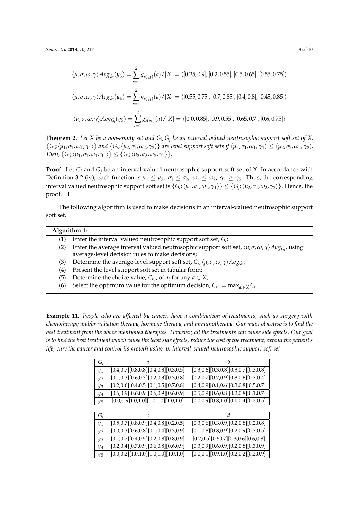$$
\langle \mu, \sigma, \omega, \gamma \rangle \text{Avg}_{G_i}(y_3) = \sum_{i=1}^2 g_{i(y_3)}(a) / |X| = \langle [0.25, 0.9], [0.2, 0.55], [0.5, 0.65], [0.55, 0.75] \rangle
$$
  

$$
\langle \mu, \sigma, \omega, \gamma \rangle \text{Avg}_{G_i}(y_4) = \sum_{i=1}^2 g_{i(y_4)}(a) / |X| = \langle [0.55, 0.75], [0.7, 0.85], [0.4, 0.8], [0.45, 0.85] \rangle
$$
  

$$
\langle \mu, \sigma, \omega, \gamma \rangle \text{Avg}_{G_i}(y_5) = \sum_{i=1}^2 g_{i(y_5)}(a) / |X| = \langle [0.0, 0.85], [0.9, 0.55], [0.65, 0.7], [0.6, 0.75] \rangle
$$

**Theorem 2.** Let X be a non-empty set and  $G_i$ ,  $G_j$  be an interval valued neutrosophic support soft set of X.  $\{G_i;\langle\mu_1,\sigma_1,\omega_1,\gamma_1\rangle\}$  and  $\{G_i;\langle\mu_2,\sigma_2,\omega_2,\gamma_2\rangle\}$  are level support soft sets if  $\langle\mu_1,\sigma_1,\omega_1,\gamma_1\rangle\leq\langle\mu_2,\sigma_2,\omega_2,\gamma_2\rangle$ . Then,  $\{G_i; \langle \mu_1, \sigma_1, \omega_1, \gamma_1 \rangle\} \leq \{G_i; \langle \mu_2, \sigma_2, \omega_2, \gamma_2 \rangle\}.$ 

**Proof.** Let  $G_i$  and  $G_j$  be an interval valued neutrosophic support soft set of X. In accordance with Definition 3.2 (iv), each function is  $\mu_1 \leq \mu_2$ ,  $\sigma_1 \leq \sigma_2$ ,  $\omega_1 \leq \omega_2$ ,  $\gamma_1 \geq \gamma_2$ . Thus, the corresponding interval valued neutrosophic support soft set is  $\{G_i;\langle\mu_1,\sigma_1,\omega_1,\gamma_1\rangle\}\leq\{G_j;\langle\mu_2,\sigma_2,\omega_2,\gamma_2\rangle\}$ . Hence, the proof. proof.

The following algorithm is used to make decisions in an interval-valued neutrosophic support The following algorithm is used to make decisions in an interval-valued neutrosophic support soft set. soft set.

# **Algorithm 1: Algorithm 1:**

- (1) Enter the interval valued neutrosophic support soft set, *G<sup>i</sup>* ; (1) Enter the interval valued neutrosophic support soft set, *G<sup>i</sup>*
- (2) Enter the average interval valued neutrosophic support soft set,  $\langle \mu, \sigma, \omega, \gamma \rangle Avg_{G_i}$ , using average-level decision rules to make decisions;

;

- (3) Determine the average-level support soft set,  $G_i$ ;  $\langle \mu, \sigma, \omega, \gamma \rangle$  Avg $_{G_i}$ ;
- (4) Present the level support soft set in tabular form; (4) Present the level support soft set in tabular form;
- (5) Determine the choice value,  $C_{v_i}$ , of  $a_i$  for any  $a \in X$ ;
- (6) Select the optimum value for the optimum decision,  $C_{v_i} = \max_{a_i \in X} C_{v_i}$ .

Example 11. People who are affected by cancer, have a combination of treatments, such as surgery with chemotherapy and/or radiation therapy, hormone therapy, and immunotherapy. Our main objective is to find the best treatment from the above mentioned therapies. However, all the treatments can cause side effects. Our goal is to find the best treatment which cause the least side effects, reduce the cost of the treatment, extend the patient's life, cure the cancer and control its growth using an interval-valued neutrosophic support soft set.

| Gi                | a                                           | h                                          |
|-------------------|---------------------------------------------|--------------------------------------------|
| $y_1$             | $[0.4, 0.7][0.8, 0.8][0.4, 0.8][0.3, 0.5]$  | $[0.3, 0.6][0.3, 0.8][0.3, 0.7][0.3, 0.8]$ |
| $y_2$             | $[0.1, 0.3][0.6, 0.7][0.2, 0.3][0.3, 0.8]$  | $[0.2, 0.7][0.7, 0.9][0.3, 0.6][0.3, 0.4]$ |
| $y_3$             | $[0.2, 0.6][0.4, 0.5][0.1, 0.5][0.7, 0.8]$  | $[0.4, 0.9][0.1, 0.6][0.3, 0.8][0.5, 0.7]$ |
| $\frac{y_4}{x_2}$ | $[0.6, 0.9][0.6, 0.9][0.6, 0.9][0.6, 0.9]$  | $[0.5, 0.9][0.6, 0.8][0.2, 0.8][0.1, 0.7]$ |
| $y_5$             | $[0.0, 0.9]1.0, 1.0] [1.0, 1.0] [1.0, 1.0]$ | $[0.0, 0.9][0.8, 1.0][0.1, 0.4][0.2, 0.5]$ |
|                   |                                             |                                            |
| $G_i$             | C                                           | d                                          |
| $y_1$             | $[0.5, 0.7][0.8, 0.9][0.4, 0.8][0.2, 0.5]$  | $[0.3, 0.6][0.3, 0.9][0.2, 0.8][0.2, 0.8]$ |
| $y_2$             | $[0.0, 0.3][0.6, 0.8][0.1, 0.4][0.3, 0.9]$  | $[0.1, 0.8][0.8, 0.9][0.2, 0.9][0.3, 0.5]$ |
| yз                | $[0.1, 0.7][0.4, 0.5][0.2, 0.8][0.8, 0.9]$  | $[0.2, 0.5][0.5, 07][0.3, 0.6][0.6, 0.8]$  |
| $\frac{y_4}{x_2}$ | $[0.2, 0.4][0.7, 0.9][0.6, 0.8][0.6, 0.9]$  | $[0.3, 0.9][0.6, 0.9][0.2, 0.8][0.3, 0.9]$ |
| Y5                | $[0.0, 0.2][1.0, 1.0][1.0, 1.0][1.0, 1.0]$  | $[0.0, 0.1][0.9, 1.0][0.2, 0.2][0.2, 0.9]$ |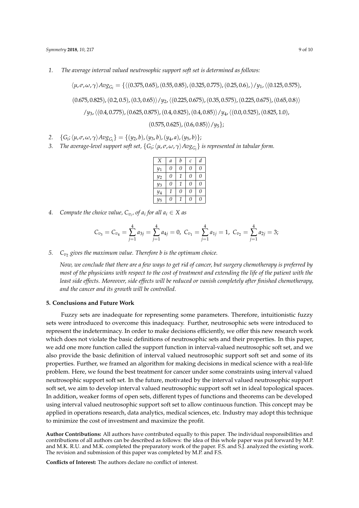*1. The average interval valued neutrosophic support soft set is determined as follows:*

 $\langle \mu, \sigma, \omega, \gamma \rangle$  *Avg*<sub>*Gi*</sub> = { $\langle (0.375, 0.65), (0.55, 0.85), (0.325, 0.775), (0.25, 0.6), \rangle / y_1$ ,  $\langle (0.125, 0.575),$ (0.675, 0.825),(0.2, 0.5),(0.3, 0.65)\/y<sub>2</sub>,((0.225, 0.675),(0.35, 0.575),(0.225, 0.675),(0.65, 0.8)\ /*y*<sub>3</sub>,  $\langle (0.4, 0.775), (0.625, 0.875), (0.4, 0.825), (0.4, 0.85) \rangle / y_4$ ,  $\langle (0.0, 0.525), (0.825, 1.0),$  $(0.575, 0.625), (0.6, 0.85)$  $/y_5$ ;

- 2.  $\{G_i; \langle \mu, \sigma, \omega, \gamma \rangle \text{Arg}_{G_i}\} = \{(y_2, b), (y_3, b), (y_4, a), (y_5, b)\};$
- 3. *The average-level support soft set,*  $\{G_i; \langle \mu, \sigma, \omega, \gamma \rangle Avg_{G_i}\}$  *is represented in tabular form.*

| Х     | а | b | C | d                |
|-------|---|---|---|------------------|
| $y_1$ | 0 | 0 | 0 | 0                |
| $y_2$ | 0 | 1 | 0 | 0                |
| $y_3$ | 0 | 1 | 0 | $\boldsymbol{0}$ |
| $y_4$ | 1 | 0 | 0 | 0                |
| $y_5$ | 0 | 1 | 0 | 0                |

*4. Compute the choice value,*  $C_{v_i}$ *, of*  $a_i$  *for all*  $a_i \in X$  *as* 

$$
C_{v_3}=C_{v_4}=\sum_{j=1}^4a_{3j}=\sum_{j=1}^4a_{4j}=0, \ C_{v_1}=\sum_{j=1}^4a_{1j}=1, \ C_{v_2}=\sum_{j=1}^4a_{2j}=3;
$$

*5. Cv*<sup>2</sup> *gives the maximum value. Therefore b is the optimum choice.*

*Now, we conclude that there are a few ways to get rid of cancer, but surgery chemotherapy is preferred by most of the physicians with respect to the cost of treatment and extending the life of the patient with the least side effects. Moreover, side effects will be reduced or vanish completely after finished chemotherapy, and the cancer and its growth will be controlled.*

# **5. Conclusions and Future Work**

Fuzzy sets are inadequate for representing some parameters. Therefore, intuitionistic fuzzy sets were introduced to overcome this inadequacy. Further, neutrosophic sets were introduced to represent the indeterminacy. In order to make decisions efficiently, we offer this new research work which does not violate the basic definitions of neutrosophic sets and their properties. In this paper, we add one more function called the support function in interval-valued neutrosophic soft set, and we also provide the basic definition of interval valued neutrosophic support soft set and some of its properties. Further, we framed an algorithm for making decisions in medical science with a real-life problem. Here, we found the best treatment for cancer under some constraints using interval valued neutrosophic support soft set. In the future, motivated by the interval valued neutrosophic support soft set, we aim to develop interval valued neutrosophic support soft set in ideal topological spaces. In addition, weaker forms of open sets, different types of functions and theorems can be developed using interval valued neutrosophic support soft set to allow continuous function. This concept may be applied in operations research, data analytics, medical sciences, etc. Industry may adopt this technique to minimize the cost of investment and maximize the profit.

**Author Contributions:** All authors have contributed equally to this paper. The individual responsibilities and contributions of all authors can be described as follows: the idea of this whole paper was put forward by M.P. and M.K. R.U. and M.K. completed the preparatory work of the paper. F.S. and S.J. analyzed the existing work. The revision and submission of this paper was completed by M.P. and F.S.

**Conflicts of Interest:** The authors declare no conflict of interest.